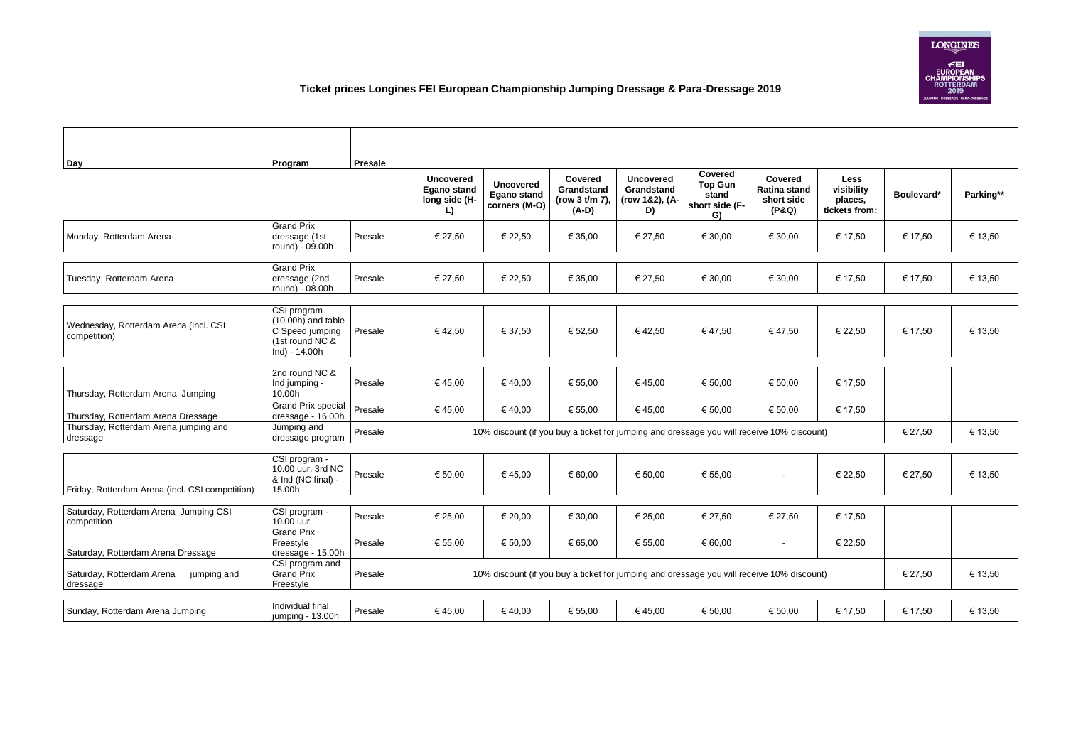## **Ticket prices Longines FEI European Championship Jumping Dressage & Para-Dressage 2019**

| <b>Day</b>                                            | Program                                                                                  | <b>Presale</b> |                                                                                           |                                                         |                                                           |                                                        |                                                 |                                                              |                                                       |            |           |
|-------------------------------------------------------|------------------------------------------------------------------------------------------|----------------|-------------------------------------------------------------------------------------------|---------------------------------------------------------|-----------------------------------------------------------|--------------------------------------------------------|-------------------------------------------------|--------------------------------------------------------------|-------------------------------------------------------|------------|-----------|
|                                                       |                                                                                          |                |                                                                                           |                                                         |                                                           |                                                        | <b>Covered</b>                                  |                                                              |                                                       |            |           |
|                                                       |                                                                                          |                | <b>Uncovered</b><br><b>Egano stand</b><br>long side (H-<br>L)                             | <b>Uncovered</b><br><b>Egano stand</b><br>corners (M-O) | <b>Covered</b><br>Grandstand<br>(row 3 t/m 7),<br>$(A-D)$ | <b>Uncovered</b><br>Grandstand<br>(row 1&2), (A-<br>D) | <b>Top Gun</b><br>stand<br>short side (F-<br>G) | <b>Covered</b><br><b>Ratina stand</b><br>short side<br>(P&Q) | <b>Less</b><br>visibility<br>places,<br>tickets from: | Boulevard* | Parking** |
| Monday, Rotterdam Arena                               | <b>Grand Prix</b><br>dressage (1st<br>round) - 09.00h                                    | Presale        | € 27,50                                                                                   | € 22,50                                                 | € 35,00                                                   | € 27,50                                                | € 30,00                                         | € 30,00                                                      | € 17,50                                               | € 17,50    | € 13,50   |
|                                                       | <b>Grand Prix</b>                                                                        |                |                                                                                           |                                                         |                                                           |                                                        |                                                 |                                                              |                                                       |            |           |
| Tuesday, Rotterdam Arena                              | dressage (2nd<br>round) - 08.00h                                                         | Presale        | € 27,50                                                                                   | € 22,50                                                 | € 35,00                                                   | € 27,50                                                | € 30,00                                         | € 30,00                                                      | € 17,50                                               | € 17,50    | € 13,50   |
|                                                       |                                                                                          |                |                                                                                           |                                                         |                                                           |                                                        |                                                 |                                                              |                                                       |            |           |
| Wednesday, Rotterdam Arena (incl. CSI<br>competition) | CSI program<br>(10.00h) and table<br>C Speed jumping<br>(1st round NC &<br>Ind) - 14.00h | Presale        | €42,50                                                                                    | € 37,50                                                 | € 52,50                                                   | €42,50                                                 | €47,50                                          | €47,50                                                       | € 22,50                                               | € 17,50    | € 13,50   |
|                                                       |                                                                                          |                |                                                                                           |                                                         |                                                           |                                                        |                                                 |                                                              |                                                       |            |           |
| Thursday, Rotterdam Arena Jumping                     | 2nd round NC &<br>Ind jumping -<br>10.00h                                                | Presale        | €45,00                                                                                    | €40,00                                                  | € 55,00                                                   | €45,00                                                 | € 50,00                                         | € 50,00                                                      | € 17,50                                               |            |           |
| Thursday, Rotterdam Arena Dressage                    | <b>Grand Prix special</b><br>dressage - 16.00h                                           | Presale        | € 45,00                                                                                   | €40,00                                                  | € 55,00                                                   | €45,00                                                 | € 50,00                                         | € 50,00                                                      | € 17,50                                               |            |           |
| Thursday, Rotterdam Arena jumping and<br>dressage     | Jumping and<br>dressage program                                                          | Presale        | 10% discount (if you buy a ticket for jumping and dressage you will receive 10% discount) |                                                         |                                                           |                                                        |                                                 |                                                              | € 27,50                                               | € 13,50    |           |
|                                                       |                                                                                          |                |                                                                                           |                                                         |                                                           |                                                        |                                                 |                                                              |                                                       |            |           |
| Friday, Rotterdam Arena (incl. CSI competition)       | CSI program -<br>10.00 uur. 3rd NC<br>& Ind (NC final) -<br>15.00h                       | Presale        | € 50,00                                                                                   | €45,00                                                  | € 60,00                                                   | € 50,00                                                | € 55,00                                         | $\sim$                                                       | € 22,50                                               | € 27,50    | € 13,50   |
|                                                       |                                                                                          |                |                                                                                           |                                                         |                                                           |                                                        |                                                 |                                                              |                                                       |            |           |
| Saturday, Rotterdam Arena Jumping CSI<br>competition  | CSI program -<br>10.00 uur                                                               | Presale        | € 25,00                                                                                   | € 20,00                                                 | € 30,00                                                   | € 25,00                                                | € 27,50                                         | € 27,50                                                      | € 17,50                                               |            |           |
| Saturday, Rotterdam Arena Dressage                    | <b>Grand Prix</b><br>Freestyle<br>dressage - 15.00h                                      | Presale        | € 55,00                                                                                   | € 50,00                                                 | € 65,00                                                   | € 55,00                                                | € 60,00                                         | $\blacksquare$                                               | € 22,50                                               |            |           |
| Saturday, Rotterdam Arena<br>jumping and<br>dressage  | CSI program and<br><b>Grand Prix</b><br>Freestyle                                        | Presale        | 10% discount (if you buy a ticket for jumping and dressage you will receive 10% discount) |                                                         |                                                           |                                                        |                                                 |                                                              | € 27,50                                               | € 13,50    |           |
|                                                       |                                                                                          |                |                                                                                           |                                                         |                                                           |                                                        |                                                 |                                                              |                                                       |            |           |
| Sunday, Rotterdam Arena Jumping                       | Individual final<br>jumping - 13.00h                                                     | Presale        | € 45,00                                                                                   | €40,00                                                  | € 55,00                                                   | € 45,00                                                | € 50,00                                         | € 50,00                                                      | € 17,50                                               | € 17,50    | € 13,50   |